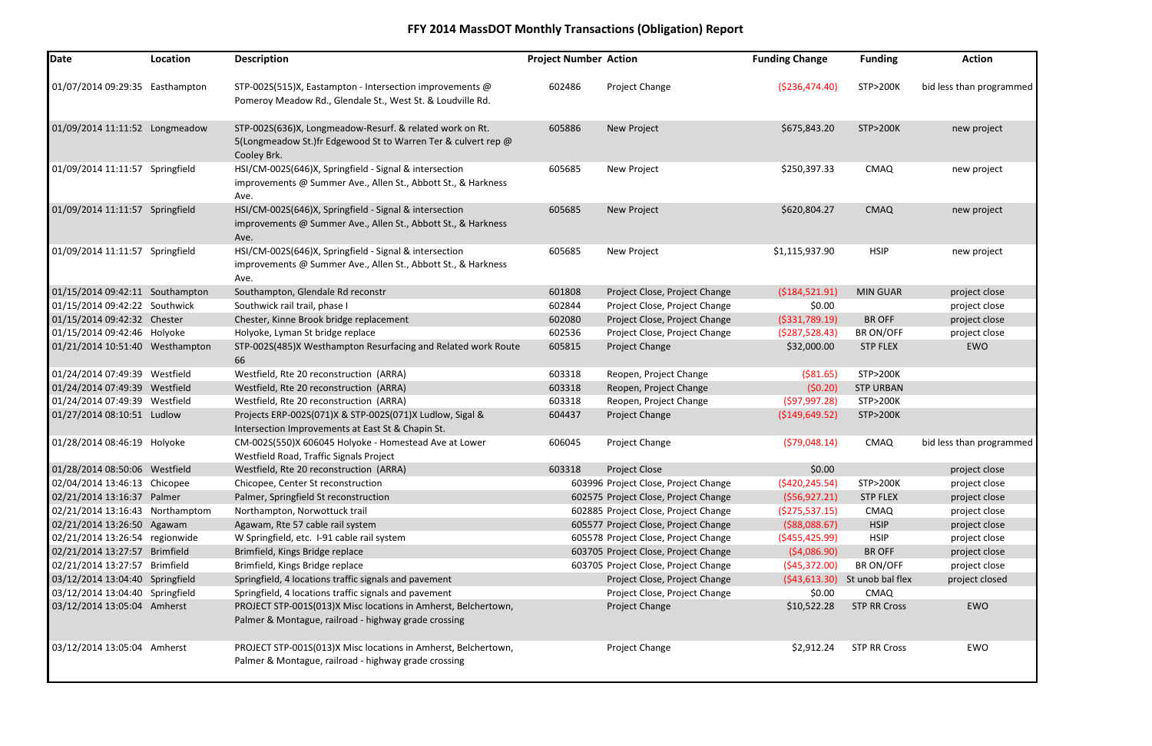| Date                            | Location | <b>Description</b>                                                                                                                       | <b>Project Number Action</b> |                                      | <b>Funding Change</b> | <b>Funding</b>      | <b>Action</b>            |
|---------------------------------|----------|------------------------------------------------------------------------------------------------------------------------------------------|------------------------------|--------------------------------------|-----------------------|---------------------|--------------------------|
| 01/07/2014 09:29:35 Easthampton |          | STP-002S(515)X, Eastampton - Intersection improvements @<br>Pomeroy Meadow Rd., Glendale St., West St. & Loudville Rd.                   | 602486                       | Project Change                       | ( \$236,474.40)       | <b>STP&gt;200K</b>  | bid less than programmed |
| 01/09/2014 11:11:52 Longmeadow  |          | STP-002S(636)X, Longmeadow-Resurf. & related work on Rt.<br>5(Longmeadow St.)fr Edgewood St to Warren Ter & culvert rep @<br>Cooley Brk. | 605886                       | <b>New Project</b>                   | \$675,843.20          | <b>STP&gt;200K</b>  | new project              |
| 01/09/2014 11:11:57 Springfield |          | HSI/CM-002S(646)X, Springfield - Signal & intersection<br>improvements @ Summer Ave., Allen St., Abbott St., & Harkness<br>Ave.          | 605685                       | New Project                          | \$250,397.33          | <b>CMAQ</b>         | new project              |
| 01/09/2014 11:11:57 Springfield |          | HSI/CM-002S(646)X, Springfield - Signal & intersection<br>improvements @ Summer Ave., Allen St., Abbott St., & Harkness<br>Ave.          | 605685                       | New Project                          | \$620,804.27          | <b>CMAQ</b>         | new project              |
| 01/09/2014 11:11:57 Springfield |          | HSI/CM-002S(646)X, Springfield - Signal & intersection<br>improvements @ Summer Ave., Allen St., Abbott St., & Harkness<br>Ave.          | 605685                       | New Project                          | \$1,115,937.90        | <b>HSIP</b>         | new project              |
| 01/15/2014 09:42:11 Southampton |          | Southampton, Glendale Rd reconstr                                                                                                        | 601808                       | Project Close, Project Change        | (5184, 521.91)        | <b>MIN GUAR</b>     | project close            |
| 01/15/2014 09:42:22 Southwick   |          | Southwick rail trail, phase I                                                                                                            | 602844                       | Project Close, Project Change        | \$0.00                |                     | project close            |
| 01/15/2014 09:42:32 Chester     |          | Chester, Kinne Brook bridge replacement                                                                                                  | 602080                       | Project Close, Project Change        | ( \$331, 789.19)      | <b>BR OFF</b>       | project close            |
| 01/15/2014 09:42:46 Holyoke     |          | Holyoke, Lyman St bridge replace                                                                                                         | 602536                       | Project Close, Project Change        | (5287,528.43)         | BR ON/OFF           | project close            |
| 01/21/2014 10:51:40 Westhampton |          | STP-002S(485)X Westhampton Resurfacing and Related work Route<br>66                                                                      | 605815                       | Project Change                       | \$32,000.00           | <b>STP FLEX</b>     | <b>EWO</b>               |
| 01/24/2014 07:49:39 Westfield   |          | Westfield, Rte 20 reconstruction (ARRA)                                                                                                  | 603318                       | Reopen, Project Change               | $($ \$81.65)          | <b>STP&gt;200K</b>  |                          |
| 01/24/2014 07:49:39 Westfield   |          | Westfield, Rte 20 reconstruction (ARRA)                                                                                                  | 603318                       | Reopen, Project Change               | (50.20)               | <b>STP URBAN</b>    |                          |
| 01/24/2014 07:49:39 Westfield   |          | Westfield, Rte 20 reconstruction (ARRA)                                                                                                  | 603318                       | Reopen, Project Change               | (597, 997.28)         | <b>STP&gt;200K</b>  |                          |
| 01/27/2014 08:10:51 Ludlow      |          | Projects ERP-002S(071)X & STP-002S(071)X Ludlow, Sigal &<br>Intersection Improvements at East St & Chapin St.                            | 604437                       | Project Change                       | ( \$149, 649.52)      | <b>STP&gt;200K</b>  |                          |
| 01/28/2014 08:46:19 Holyoke     |          | CM-002S(550)X 606045 Holyoke - Homestead Ave at Lower<br>Westfield Road, Traffic Signals Project                                         | 606045                       | Project Change                       | (579,048.14)          | <b>CMAQ</b>         | bid less than programmed |
| 01/28/2014 08:50:06 Westfield   |          | Westfield, Rte 20 reconstruction (ARRA)                                                                                                  | 603318                       | Project Close                        | \$0.00                |                     | project close            |
| 02/04/2014 13:46:13 Chicopee    |          | Chicopee, Center St reconstruction                                                                                                       |                              | 603996 Project Close, Project Change | (5420, 245.54)        | <b>STP&gt;200K</b>  | project close            |
| 02/21/2014 13:16:37 Palmer      |          | Palmer, Springfield St reconstruction                                                                                                    |                              | 602575 Project Close, Project Change | (556, 927.21)         | <b>STP FLEX</b>     | project close            |
| 02/21/2014 13:16:43 Northamptom |          | Northampton, Norwottuck trail                                                                                                            |                              | 602885 Project Close, Project Change | (5275, 537.15)        | <b>CMAQ</b>         | project close            |
| 02/21/2014 13:26:50 Agawam      |          | Agawam, Rte 57 cable rail system                                                                                                         |                              | 605577 Project Close, Project Change | ( \$88,088.67)        | <b>HSIP</b>         | project close            |
| 02/21/2014 13:26:54 regionwide  |          | W Springfield, etc. 1-91 cable rail system                                                                                               |                              | 605578 Project Close, Project Change | $($ \$455,425.99)     | <b>HSIP</b>         | project close            |
| 02/21/2014 13:27:57 Brimfield   |          | Brimfield, Kings Bridge replace                                                                                                          |                              | 603705 Project Close, Project Change | (54,086.90)           | <b>BR OFF</b>       | project close            |
| 02/21/2014 13:27:57 Brimfield   |          | Brimfield, Kings Bridge replace                                                                                                          |                              | 603705 Project Close, Project Change | (545, 372.00)         | BR ON/OFF           | project close            |
| 03/12/2014 13:04:40 Springfield |          | Springfield, 4 locations traffic signals and pavement                                                                                    |                              | Project Close, Project Change        | (543, 613.30)         | St unob bal flex    | project closed           |
| 03/12/2014 13:04:40 Springfield |          | Springfield, 4 locations traffic signals and pavement                                                                                    |                              | Project Close, Project Change        | \$0.00                | <b>CMAQ</b>         |                          |
| 03/12/2014 13:05:04 Amherst     |          | PROJECT STP-001S(013)X Misc locations in Amherst, Belchertown,<br>Palmer & Montague, railroad - highway grade crossing                   |                              | Project Change                       | \$10,522.28           | <b>STP RR Cross</b> | EWO                      |
| 03/12/2014 13:05:04 Amherst     |          | PROJECT STP-001S(013)X Misc locations in Amherst, Belchertown,<br>Palmer & Montague, railroad - highway grade crossing                   |                              | Project Change                       | \$2,912.24            | <b>STP RR Cross</b> | EWO                      |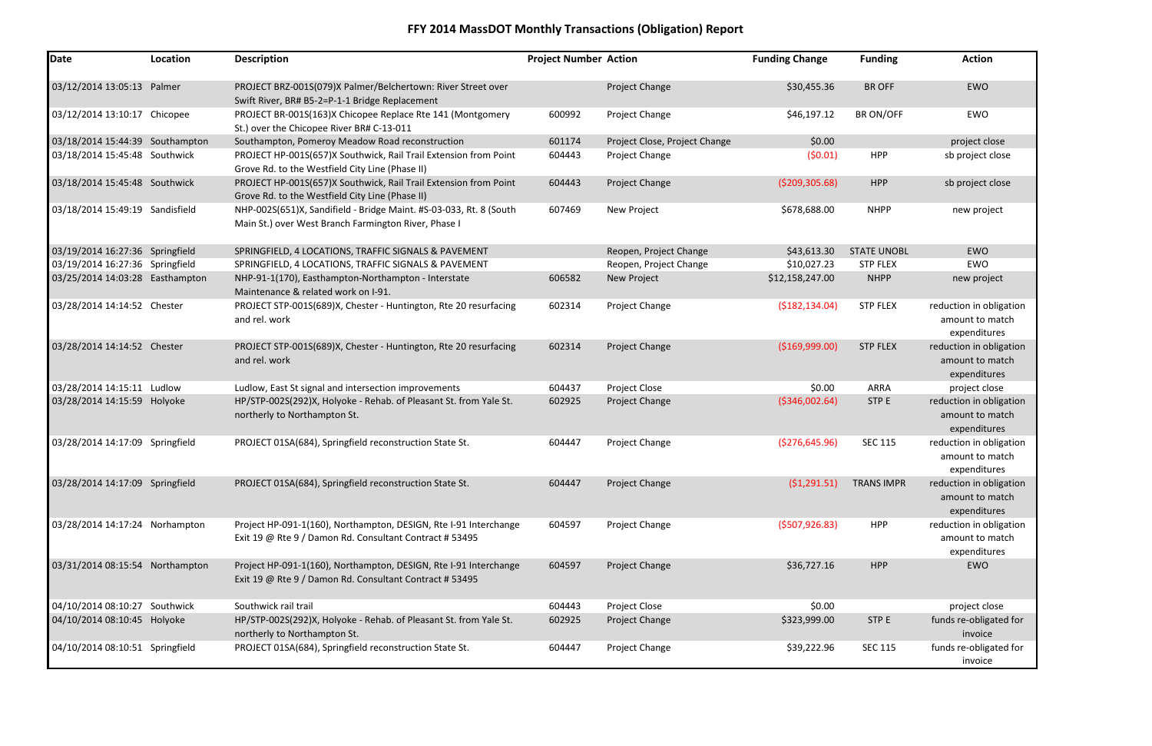| Date                            | Location | <b>Description</b>                                                                                                          | <b>Project Number Action</b> |                               | <b>Funding Change</b> | <b>Funding</b>     | <b>Action</b>                                              |
|---------------------------------|----------|-----------------------------------------------------------------------------------------------------------------------------|------------------------------|-------------------------------|-----------------------|--------------------|------------------------------------------------------------|
| 03/12/2014 13:05:13 Palmer      |          | PROJECT BRZ-001S(079)X Palmer/Belchertown: River Street over<br>Swift River, BR# B5-2=P-1-1 Bridge Replacement              |                              | <b>Project Change</b>         | \$30,455.36           | <b>BR OFF</b>      | EWO                                                        |
| 03/12/2014 13:10:17 Chicopee    |          | PROJECT BR-001S(163)X Chicopee Replace Rte 141 (Montgomery<br>St.) over the Chicopee River BR# C-13-011                     | 600992                       | Project Change                | \$46,197.12           | <b>BRON/OFF</b>    | EWO                                                        |
| 03/18/2014 15:44:39 Southampton |          | Southampton, Pomeroy Meadow Road reconstruction                                                                             | 601174                       | Project Close, Project Change | \$0.00                |                    | project close                                              |
| 03/18/2014 15:45:48 Southwick   |          | PROJECT HP-001S(657)X Southwick, Rail Trail Extension from Point<br>Grove Rd. to the Westfield City Line (Phase II)         | 604443                       | Project Change                | (50.01)               | <b>HPP</b>         | sb project close                                           |
| 03/18/2014 15:45:48 Southwick   |          | PROJECT HP-001S(657)X Southwick, Rail Trail Extension from Point<br>Grove Rd. to the Westfield City Line (Phase II)         | 604443                       | Project Change                | ( \$209, 305.68)      | <b>HPP</b>         | sb project close                                           |
| 03/18/2014 15:49:19 Sandisfield |          | NHP-002S(651)X, Sandifield - Bridge Maint. #S-03-033, Rt. 8 (South<br>Main St.) over West Branch Farmington River, Phase I  | 607469                       | New Project                   | \$678,688.00          | <b>NHPP</b>        | new project                                                |
| 03/19/2014 16:27:36 Springfield |          | SPRINGFIELD, 4 LOCATIONS, TRAFFIC SIGNALS & PAVEMENT                                                                        |                              | Reopen, Project Change        | \$43,613.30           | <b>STATE UNOBL</b> | EWO                                                        |
| 03/19/2014 16:27:36 Springfield |          | SPRINGFIELD, 4 LOCATIONS, TRAFFIC SIGNALS & PAVEMENT                                                                        |                              | Reopen, Project Change        | \$10,027.23           | <b>STP FLEX</b>    | EWO                                                        |
| 03/25/2014 14:03:28 Easthampton |          | NHP-91-1(170), Easthampton-Northampton - Interstate<br>Maintenance & related work on I-91.                                  | 606582                       | New Project                   | \$12,158,247.00       | <b>NHPP</b>        | new project                                                |
| 03/28/2014 14:14:52 Chester     |          | PROJECT STP-001S(689)X, Chester - Huntington, Rte 20 resurfacing<br>and rel. work                                           | 602314                       | <b>Project Change</b>         | (5182, 134.04)        | <b>STP FLEX</b>    | reduction in obligation<br>amount to match<br>expenditures |
| 03/28/2014 14:14:52 Chester     |          | PROJECT STP-001S(689)X, Chester - Huntington, Rte 20 resurfacing<br>and rel. work                                           | 602314                       | <b>Project Change</b>         | ( \$169,999.00)       | <b>STP FLEX</b>    | reduction in obligation<br>amount to match<br>expenditures |
| 03/28/2014 14:15:11 Ludlow      |          | Ludlow, East St signal and intersection improvements                                                                        | 604437                       | Project Close                 | \$0.00                | <b>ARRA</b>        | project close                                              |
| 03/28/2014 14:15:59 Holyoke     |          | HP/STP-002S(292)X, Holyoke - Rehab. of Pleasant St. from Yale St.<br>northerly to Northampton St.                           | 602925                       | <b>Project Change</b>         | ( \$346,002.64)       | STP E              | reduction in obligation<br>amount to match<br>expenditures |
| 03/28/2014 14:17:09 Springfield |          | PROJECT 01SA(684), Springfield reconstruction State St.                                                                     | 604447                       | Project Change                | ( \$276, 645.96)      | <b>SEC 115</b>     | reduction in obligation<br>amount to match<br>expenditures |
| 03/28/2014 14:17:09 Springfield |          | PROJECT 01SA(684), Springfield reconstruction State St.                                                                     | 604447                       | Project Change                | (51, 291.51)          | <b>TRANS IMPR</b>  | reduction in obligation<br>amount to match<br>expenditures |
| 03/28/2014 14:17:24 Norhampton  |          | Project HP-091-1(160), Northampton, DESIGN, Rte I-91 Interchange<br>Exit 19 @ Rte 9 / Damon Rd. Consultant Contract # 53495 | 604597                       | Project Change                | (5507, 926.83)        | <b>HPP</b>         | reduction in obligation<br>amount to match<br>expenditures |
| 03/31/2014 08:15:54 Northampton |          | Project HP-091-1(160), Northampton, DESIGN, Rte I-91 Interchange<br>Exit 19 @ Rte 9 / Damon Rd. Consultant Contract # 53495 | 604597                       | Project Change                | \$36,727.16           | <b>HPP</b>         | EWO                                                        |
| 04/10/2014 08:10:27 Southwick   |          | Southwick rail trail                                                                                                        | 604443                       | Project Close                 | \$0.00                |                    | project close                                              |
| 04/10/2014 08:10:45 Holyoke     |          | HP/STP-002S(292)X, Holyoke - Rehab. of Pleasant St. from Yale St.<br>northerly to Northampton St.                           | 602925                       | <b>Project Change</b>         | \$323,999.00          | STP E              | funds re-obligated for<br>invoice                          |
| 04/10/2014 08:10:51 Springfield |          | PROJECT 01SA(684), Springfield reconstruction State St.                                                                     | 604447                       | Project Change                | \$39,222.96           | <b>SEC 115</b>     | funds re-obligated for<br>invoice                          |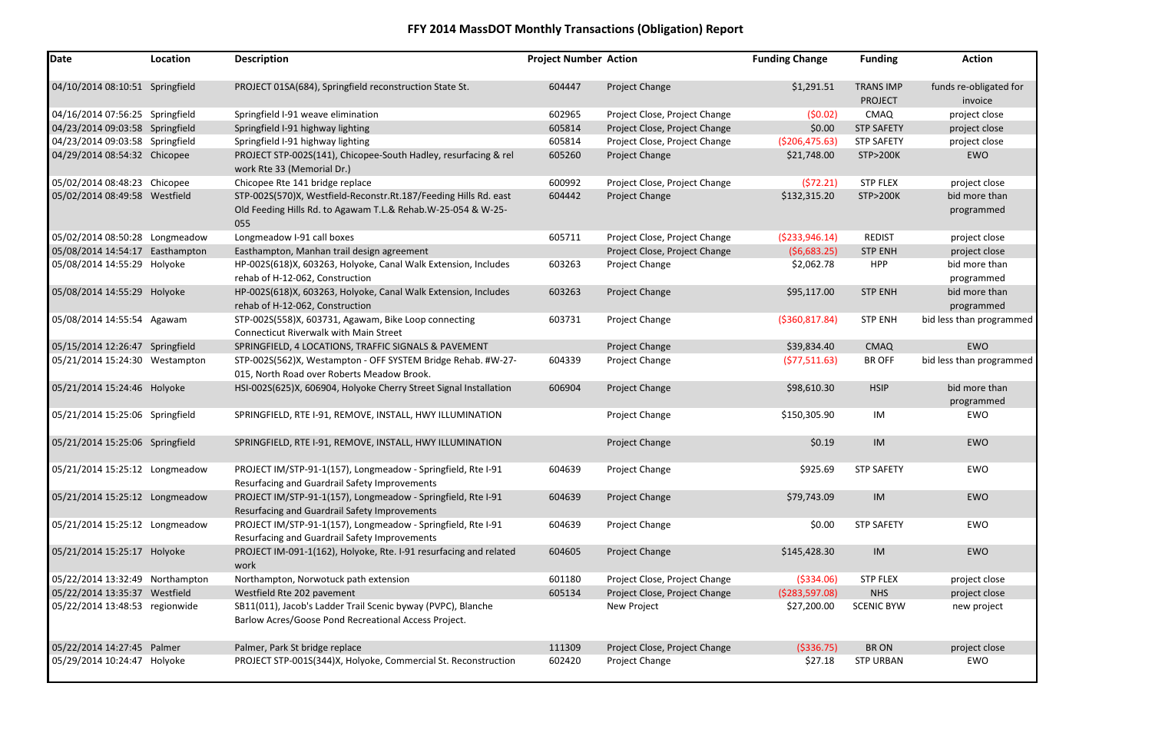| <b>Funding</b>     | <b>Action</b>            |
|--------------------|--------------------------|
| <b>TRANS IMP</b>   | funds re-obligated for   |
| <b>PROJECT</b>     | invoice                  |
| <b>CMAQ</b>        | project close            |
| <b>STP SAFETY</b>  | project close            |
| <b>STP SAFETY</b>  | project close            |
| <b>STP&gt;200K</b> | <b>EWO</b>               |
| <b>STP FLEX</b>    | project close            |
| <b>STP&gt;200K</b> | bid more than            |
|                    | programmed               |
| <b>REDIST</b>      | project close            |
| <b>STP ENH</b>     | project close            |
| <b>HPP</b>         | bid more than            |
|                    | programmed               |
| <b>STP ENH</b>     | bid more than            |
|                    | programmed               |
| <b>STP ENH</b>     | bid less than programmed |
| <b>CMAQ</b>        | <b>EWO</b>               |
| <b>BR OFF</b>      | bid less than programmed |
| <b>HSIP</b>        | bid more than            |
|                    | programmed               |
| IM                 | <b>EWO</b>               |
| <b>IM</b>          | <b>EWO</b>               |
| <b>STP SAFETY</b>  | FWO                      |
| IM                 | <b>EWO</b>               |
| <b>STP SAFETY</b>  | <b>EWO</b>               |
| <b>IM</b>          | <b>EWO</b>               |
| <b>STP FLEX</b>    | project close            |
| <b>NHS</b>         | project close            |
| <b>SCENIC BYW</b>  | new project              |
| <b>BRON</b>        | project close            |
| <b>STP URBAN</b>   | <b>EWO</b>               |

| <b>Date</b>                     | Location | <b>Description</b>                                                                                                                      | <b>Project Number Action</b> |                               | <b>Funding Change</b> | <b>Funding</b>                     | <b>Action</b>                     |
|---------------------------------|----------|-----------------------------------------------------------------------------------------------------------------------------------------|------------------------------|-------------------------------|-----------------------|------------------------------------|-----------------------------------|
| 04/10/2014 08:10:51 Springfield |          | PROJECT 01SA(684), Springfield reconstruction State St.                                                                                 | 604447                       | Project Change                | \$1,291.51            | <b>TRANS IMP</b><br><b>PROJECT</b> | funds re-obligated for<br>invoice |
| 04/16/2014 07:56:25 Springfield |          | Springfield I-91 weave elimination                                                                                                      | 602965                       | Project Close, Project Change | (50.02)               | <b>CMAQ</b>                        | project close                     |
| 04/23/2014 09:03:58 Springfield |          | Springfield I-91 highway lighting                                                                                                       | 605814                       | Project Close, Project Change | \$0.00                | <b>STP SAFETY</b>                  | project close                     |
| 04/23/2014 09:03:58 Springfield |          | Springfield I-91 highway lighting                                                                                                       | 605814                       | Project Close, Project Change | ( \$206,475.63)       | <b>STP SAFETY</b>                  | project close                     |
| 04/29/2014 08:54:32 Chicopee    |          | PROJECT STP-002S(141), Chicopee-South Hadley, resurfacing & rel<br>work Rte 33 (Memorial Dr.)                                           | 605260                       | Project Change                | \$21,748.00           | <b>STP&gt;200K</b>                 | EWO                               |
| 05/02/2014 08:48:23 Chicopee    |          | Chicopee Rte 141 bridge replace                                                                                                         | 600992                       | Project Close, Project Change | (572.21)              | <b>STP FLEX</b>                    | project close                     |
| 05/02/2014 08:49:58 Westfield   |          | STP-002S(570)X, Westfield-Reconstr.Rt.187/Feeding Hills Rd. east<br>Old Feeding Hills Rd. to Agawam T.L.& Rehab.W-25-054 & W-25-<br>055 | 604442                       | Project Change                | \$132,315.20          | <b>STP&gt;200K</b>                 | bid more than<br>programmed       |
| 05/02/2014 08:50:28 Longmeadow  |          | Longmeadow I-91 call boxes                                                                                                              | 605711                       | Project Close, Project Change | ( \$233, 946.14)      | <b>REDIST</b>                      | project close                     |
| 05/08/2014 14:54:17 Easthampton |          | Easthampton, Manhan trail design agreement                                                                                              |                              | Project Close, Project Change | (56,683.25)           | <b>STP ENH</b>                     | project close                     |
| 05/08/2014 14:55:29 Holyoke     |          | HP-002S(618)X, 603263, Holyoke, Canal Walk Extension, Includes<br>rehab of H-12-062, Construction                                       | 603263                       | Project Change                | \$2,062.78            | <b>HPP</b>                         | bid more than<br>programmed       |
| 05/08/2014 14:55:29 Holyoke     |          | HP-002S(618)X, 603263, Holyoke, Canal Walk Extension, Includes<br>rehab of H-12-062, Construction                                       | 603263                       | Project Change                | \$95,117.00           | <b>STP ENH</b>                     | bid more than<br>programmed       |
| 05/08/2014 14:55:54 Agawam      |          | STP-002S(558)X, 603731, Agawam, Bike Loop connecting<br><b>Connecticut Riverwalk with Main Street</b>                                   | 603731                       | Project Change                | ( \$360, 817.84)      | <b>STP ENH</b>                     | bid less than programmed          |
| 05/15/2014 12:26:47 Springfield |          | SPRINGFIELD, 4 LOCATIONS, TRAFFIC SIGNALS & PAVEMENT                                                                                    |                              | Project Change                | \$39,834.40           | <b>CMAQ</b>                        | EWO                               |
| 05/21/2014 15:24:30 Westampton  |          | STP-002S(562)X, Westampton - OFF SYSTEM Bridge Rehab. #W-27-<br>015, North Road over Roberts Meadow Brook.                              | 604339                       | Project Change                | (577,511.63)          | <b>BR OFF</b>                      | bid less than programmed          |
| 05/21/2014 15:24:46 Holyoke     |          | HSI-002S(625)X, 606904, Holyoke Cherry Street Signal Installation                                                                       | 606904                       | Project Change                | \$98,610.30           | <b>HSIP</b>                        | bid more than<br>programmed       |
| 05/21/2014 15:25:06 Springfield |          | SPRINGFIELD, RTE I-91, REMOVE, INSTALL, HWY ILLUMINATION                                                                                |                              | Project Change                | \$150,305.90          | IM                                 | EWO                               |
| 05/21/2014 15:25:06 Springfield |          | SPRINGFIELD, RTE I-91, REMOVE, INSTALL, HWY ILLUMINATION                                                                                |                              | Project Change                | \$0.19                | <b>IM</b>                          | EWO                               |
| 05/21/2014 15:25:12 Longmeadow  |          | PROJECT IM/STP-91-1(157), Longmeadow - Springfield, Rte I-91<br>Resurfacing and Guardrail Safety Improvements                           | 604639                       | Project Change                | \$925.69              | <b>STP SAFETY</b>                  | EWO                               |
| 05/21/2014 15:25:12 Longmeadow  |          | PROJECT IM/STP-91-1(157), Longmeadow - Springfield, Rte I-91<br>Resurfacing and Guardrail Safety Improvements                           | 604639                       | Project Change                | \$79,743.09           | IM                                 | EWO                               |
| 05/21/2014 15:25:12 Longmeadow  |          | PROJECT IM/STP-91-1(157), Longmeadow - Springfield, Rte I-91<br>Resurfacing and Guardrail Safety Improvements                           | 604639                       | Project Change                | \$0.00                | <b>STP SAFETY</b>                  | EWO                               |
| 05/21/2014 15:25:17 Holyoke     |          | PROJECT IM-091-1(162), Holyoke, Rte. I-91 resurfacing and related<br>work                                                               | 604605                       | Project Change                | \$145,428.30          | IM                                 | EWO                               |
| 05/22/2014 13:32:49 Northampton |          | Northampton, Norwotuck path extension                                                                                                   | 601180                       | Project Close, Project Change | (5334.06)             | <b>STP FLEX</b>                    | project close                     |
| 05/22/2014 13:35:37 Westfield   |          | Westfield Rte 202 pavement                                                                                                              | 605134                       | Project Close, Project Change | (5283,597.08)         | <b>NHS</b>                         | project close                     |
| 05/22/2014 13:48:53 regionwide  |          | SB11(011), Jacob's Ladder Trail Scenic byway (PVPC), Blanche<br>Barlow Acres/Goose Pond Recreational Access Project.                    |                              | New Project                   | \$27,200.00           | <b>SCENIC BYW</b>                  | new project                       |
| 05/22/2014 14:27:45 Palmer      |          | Palmer, Park St bridge replace                                                                                                          | 111309                       | Project Close, Project Change | ( \$336.75)           | <b>BRON</b>                        | project close                     |
| 05/29/2014 10:24:47 Holyoke     |          | PROJECT STP-001S(344)X, Holyoke, Commercial St. Reconstruction                                                                          | 602420                       | Project Change                | \$27.18               | <b>STP URBAN</b>                   | EWO                               |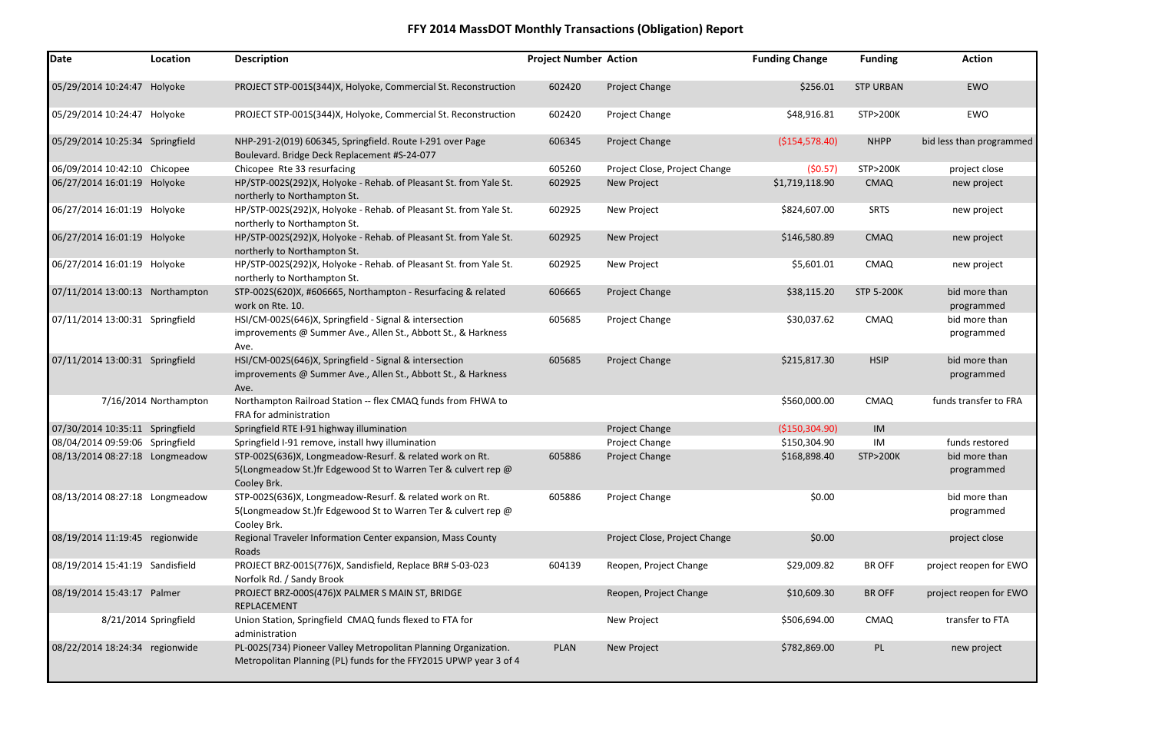| <b>Date</b>                     | Location              | <b>Description</b>                                                                                                                       | <b>Project Number Action</b> |                               | <b>Funding Change</b> | <b>Funding</b>     | <b>Action</b>               |
|---------------------------------|-----------------------|------------------------------------------------------------------------------------------------------------------------------------------|------------------------------|-------------------------------|-----------------------|--------------------|-----------------------------|
| 05/29/2014 10:24:47 Holyoke     |                       | PROJECT STP-001S(344)X, Holyoke, Commercial St. Reconstruction                                                                           | 602420                       | Project Change                | \$256.01              | <b>STP URBAN</b>   | EWO                         |
| 05/29/2014 10:24:47 Holyoke     |                       | PROJECT STP-001S(344)X, Holyoke, Commercial St. Reconstruction                                                                           | 602420                       | Project Change                | \$48,916.81           | <b>STP&gt;200K</b> | EWO                         |
| 05/29/2014 10:25:34 Springfield |                       | NHP-291-2(019) 606345, Springfield. Route I-291 over Page<br>Boulevard. Bridge Deck Replacement #S-24-077                                | 606345                       | Project Change                | ( \$154, 578.40)      | <b>NHPP</b>        | bid less than programmed    |
| 06/09/2014 10:42:10 Chicopee    |                       | Chicopee Rte 33 resurfacing                                                                                                              | 605260                       | Project Close, Project Change | (50.57)               | <b>STP&gt;200K</b> | project close               |
| 06/27/2014 16:01:19 Holyoke     |                       | HP/STP-002S(292)X, Holyoke - Rehab. of Pleasant St. from Yale St.<br>northerly to Northampton St.                                        | 602925                       | New Project                   | \$1,719,118.90        | <b>CMAQ</b>        | new project                 |
| 06/27/2014 16:01:19 Holyoke     |                       | HP/STP-002S(292)X, Holyoke - Rehab. of Pleasant St. from Yale St.<br>northerly to Northampton St.                                        | 602925                       | New Project                   | \$824,607.00          | <b>SRTS</b>        | new project                 |
| 06/27/2014 16:01:19 Holyoke     |                       | HP/STP-002S(292)X, Holyoke - Rehab. of Pleasant St. from Yale St.<br>northerly to Northampton St.                                        | 602925                       | New Project                   | \$146,580.89          | <b>CMAQ</b>        | new project                 |
| 06/27/2014 16:01:19 Holyoke     |                       | HP/STP-002S(292)X, Holyoke - Rehab. of Pleasant St. from Yale St.<br>northerly to Northampton St.                                        | 602925                       | New Project                   | \$5,601.01            | <b>CMAQ</b>        | new project                 |
| 07/11/2014 13:00:13 Northampton |                       | STP-002S(620)X, #606665, Northampton - Resurfacing & related<br>work on Rte. 10.                                                         | 606665                       | Project Change                | \$38,115.20           | <b>STP 5-200K</b>  | bid more than<br>programmed |
| 07/11/2014 13:00:31 Springfield |                       | HSI/CM-002S(646)X, Springfield - Signal & intersection<br>improvements @ Summer Ave., Allen St., Abbott St., & Harkness<br>Ave.          | 605685                       | Project Change                | \$30,037.62           | <b>CMAQ</b>        | bid more than<br>programmed |
| 07/11/2014 13:00:31 Springfield |                       | HSI/CM-002S(646)X, Springfield - Signal & intersection<br>improvements @ Summer Ave., Allen St., Abbott St., & Harkness<br>Ave.          | 605685                       | Project Change                | \$215,817.30          | <b>HSIP</b>        | bid more than<br>programmed |
|                                 | 7/16/2014 Northampton | Northampton Railroad Station -- flex CMAQ funds from FHWA to<br>FRA for administration                                                   |                              |                               | \$560,000.00          | <b>CMAQ</b>        | funds transfer to FRA       |
| 07/30/2014 10:35:11 Springfield |                       | Springfield RTE I-91 highway illumination                                                                                                |                              | Project Change                | ( \$150, 304.90)      | IM                 |                             |
| 08/04/2014 09:59:06 Springfield |                       | Springfield I-91 remove, install hwy illumination                                                                                        |                              | Project Change                | \$150,304.90          | IM                 | funds restored              |
| 08/13/2014 08:27:18 Longmeadow  |                       | STP-002S(636)X, Longmeadow-Resurf. & related work on Rt.<br>5(Longmeadow St.)fr Edgewood St to Warren Ter & culvert rep @<br>Cooley Brk. | 605886                       | Project Change                | \$168,898.40          | <b>STP&gt;200K</b> | bid more than<br>programmed |
| 08/13/2014 08:27:18 Longmeadow  |                       | STP-002S(636)X, Longmeadow-Resurf. & related work on Rt.<br>5(Longmeadow St.)fr Edgewood St to Warren Ter & culvert rep @<br>Cooley Brk. | 605886                       | Project Change                | \$0.00                |                    | bid more than<br>programmed |
| 08/19/2014 11:19:45 regionwide  |                       | Regional Traveler Information Center expansion, Mass County<br>Roads                                                                     |                              | Project Close, Project Change | \$0.00                |                    | project close               |
| 08/19/2014 15:41:19 Sandisfield |                       | PROJECT BRZ-001S(776)X, Sandisfield, Replace BR# S-03-023<br>Norfolk Rd. / Sandy Brook                                                   | 604139                       | Reopen, Project Change        | \$29,009.82           | <b>BR OFF</b>      | project reopen for EWO      |
| 08/19/2014 15:43:17 Palmer      |                       | PROJECT BRZ-000S(476)X PALMER S MAIN ST, BRIDGE<br>REPLACEMENT                                                                           |                              | Reopen, Project Change        | \$10,609.30           | <b>BR OFF</b>      | project reopen for EWO      |
|                                 | 8/21/2014 Springfield | Union Station, Springfield CMAQ funds flexed to FTA for<br>administration                                                                |                              | New Project                   | \$506,694.00          | <b>CMAQ</b>        | transfer to FTA             |
| 08/22/2014 18:24:34 regionwide  |                       | PL-002S(734) Pioneer Valley Metropolitan Planning Organization.<br>Metropolitan Planning (PL) funds for the FFY2015 UPWP year 3 of 4     | <b>PLAN</b>                  | New Project                   | \$782,869.00          | PL                 | new project                 |

| ng Change     | <b>Funding</b>     | <b>Action</b>            |
|---------------|--------------------|--------------------------|
| \$256.01      | <b>STP URBAN</b>   | <b>EWO</b>               |
| \$48,916.81   | STP>200K           | <b>EWO</b>               |
| \$154,578.40) | <b>NHPP</b>        | bid less than programmed |
| (50.57)       | <b>STP&gt;200K</b> | project close            |
| 1,719,118.90  | <b>CMAQ</b>        | new project              |
| \$824,607.00  | <b>SRTS</b>        | new project              |
| \$146,580.89  | <b>CMAQ</b>        | new project              |
| \$5,601.01    | <b>CMAQ</b>        | new project              |
| \$38,115.20   | <b>STP 5-200K</b>  | bid more than            |
|               |                    | programmed               |
| \$30,037.62   | <b>CMAQ</b>        | bid more than            |
|               |                    | programmed               |
| \$215,817.30  | <b>HSIP</b>        | bid more than            |
|               |                    | programmed               |
| \$560,000.00  | <b>CMAQ</b>        | funds transfer to FRA    |
| \$150,304.90) | IM                 |                          |
| \$150,304.90  | IM                 | funds restored           |
| \$168,898.40  | <b>STP&gt;200K</b> | bid more than            |
|               |                    | programmed               |
| \$0.00        |                    | bid more than            |
|               |                    | programmed               |
| \$0.00        |                    | project close            |
| \$29,009.82   | <b>BR OFF</b>      | project reopen for EWO   |
| \$10,609.30   | <b>BR OFF</b>      | project reopen for EWO   |
| \$506,694.00  | <b>CMAQ</b>        | transfer to FTA          |
| \$782,869.00  | PL                 | new project              |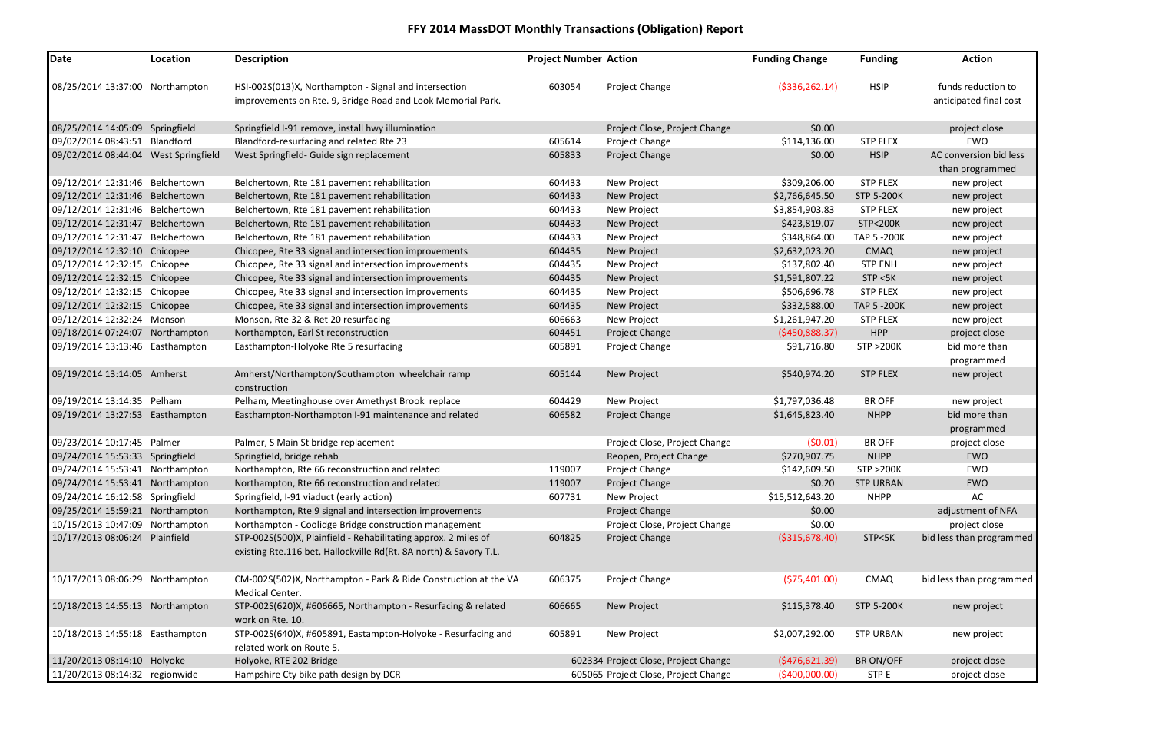| <b>Funding</b>      | <b>Action</b>            |
|---------------------|--------------------------|
|                     |                          |
| <b>HSIP</b>         | funds reduction to       |
|                     | anticipated final cost   |
|                     |                          |
|                     | project close            |
| <b>STP FLEX</b>     | <b>EWO</b>               |
| <b>HSIP</b>         | AC conversion bid less   |
|                     | than programmed          |
| <b>STP FLEX</b>     | new project              |
| <b>STP 5-200K</b>   | new project              |
| <b>STP FLEX</b>     | new project              |
| <b>STP&lt;200K</b>  | new project              |
| <b>TAP 5 -200K</b>  | new project              |
| <b>CMAQ</b>         | new project              |
| <b>STP ENH</b>      | new project              |
| STP < 5K            | new project              |
| <b>STP FLEX</b>     | new project              |
| <b>TAP 5 -200K</b>  | new project              |
| <b>STP FLEX</b>     | new project              |
| <b>HPP</b>          | project close            |
| <b>STP &gt;200K</b> | bid more than            |
|                     | programmed               |
| <b>STP FLEX</b>     | new project              |
| <b>BR OFF</b>       | new project              |
| <b>NHPP</b>         | bid more than            |
|                     | programmed               |
| <b>BR OFF</b>       | project close            |
| <b>NHPP</b>         | <b>EWO</b>               |
| <b>STP &gt;200K</b> | <b>EWO</b>               |
| <b>STP URBAN</b>    | <b>EWO</b>               |
| <b>NHPP</b>         | AC                       |
|                     | adjustment of NFA        |
|                     | project close            |
| STP<5K              | bid less than programmed |
| <b>CMAQ</b>         | bid less than programmed |
| <b>STP 5-200K</b>   | new project              |
| <b>STP URBAN</b>    | new project              |
| <b>BR ON/OFF</b>    | project close            |
| <b>STPE</b>         | project close            |

| Date                                 | Location | <b>Description</b>                                                                                                   | <b>Project Number Action</b> |                                      | <b>Funding Change</b> | <b>Funding</b>      | <b>Action</b>                                |
|--------------------------------------|----------|----------------------------------------------------------------------------------------------------------------------|------------------------------|--------------------------------------|-----------------------|---------------------|----------------------------------------------|
| 08/25/2014 13:37:00 Northampton      |          | HSI-002S(013)X, Northampton - Signal and intersection<br>improvements on Rte. 9, Bridge Road and Look Memorial Park. | 603054                       | Project Change                       | ( \$336, 262.14)      | <b>HSIP</b>         | funds reduction to<br>anticipated final cost |
| 08/25/2014 14:05:09 Springfield      |          | Springfield I-91 remove, install hwy illumination                                                                    |                              | Project Close, Project Change        | \$0.00                |                     | project close                                |
| 09/02/2014 08:43:51 Blandford        |          | Blandford-resurfacing and related Rte 23                                                                             | 605614                       | Project Change                       | \$114,136.00          | <b>STP FLEX</b>     | EWO                                          |
| 09/02/2014 08:44:04 West Springfield |          | West Springfield- Guide sign replacement                                                                             | 605833                       | Project Change                       | \$0.00                | <b>HSIP</b>         | AC conversion bid less                       |
|                                      |          |                                                                                                                      |                              |                                      |                       |                     | than programmed                              |
| 09/12/2014 12:31:46 Belchertown      |          | Belchertown, Rte 181 pavement rehabilitation                                                                         | 604433                       | New Project                          | \$309,206.00          | <b>STP FLEX</b>     | new project                                  |
| 09/12/2014 12:31:46 Belchertown      |          | Belchertown, Rte 181 pavement rehabilitation                                                                         | 604433                       | New Project                          | \$2,766,645.50        | <b>STP 5-200K</b>   | new project                                  |
| 09/12/2014 12:31:46 Belchertown      |          | Belchertown, Rte 181 pavement rehabilitation                                                                         | 604433                       | New Project                          | \$3,854,903.83        | <b>STP FLEX</b>     | new project                                  |
| 09/12/2014 12:31:47 Belchertown      |          | Belchertown, Rte 181 pavement rehabilitation                                                                         | 604433                       | New Project                          | \$423,819.07          | <b>STP&lt;200K</b>  | new project                                  |
| 09/12/2014 12:31:47 Belchertown      |          | Belchertown, Rte 181 pavement rehabilitation                                                                         | 604433                       | New Project                          | \$348,864.00          | <b>TAP 5 -200K</b>  | new project                                  |
| 09/12/2014 12:32:10 Chicopee         |          | Chicopee, Rte 33 signal and intersection improvements                                                                | 604435                       | New Project                          | \$2,632,023.20        | <b>CMAQ</b>         | new project                                  |
| 09/12/2014 12:32:15 Chicopee         |          | Chicopee, Rte 33 signal and intersection improvements                                                                | 604435                       | New Project                          | \$137,802.40          | <b>STP ENH</b>      | new project                                  |
| 09/12/2014 12:32:15 Chicopee         |          | Chicopee, Rte 33 signal and intersection improvements                                                                | 604435                       | New Project                          | \$1,591,807.22        | STP < 5K            | new project                                  |
| 09/12/2014 12:32:15 Chicopee         |          | Chicopee, Rte 33 signal and intersection improvements                                                                | 604435                       | New Project                          | \$506,696.78          | <b>STP FLEX</b>     | new project                                  |
| 09/12/2014 12:32:15 Chicopee         |          | Chicopee, Rte 33 signal and intersection improvements                                                                | 604435                       | New Project                          | \$332,588.00          | <b>TAP 5 -200K</b>  | new project                                  |
| 09/12/2014 12:32:24 Monson           |          | Monson, Rte 32 & Ret 20 resurfacing                                                                                  | 606663                       | New Project                          | \$1,261,947.20        | <b>STP FLEX</b>     | new project                                  |
| 09/18/2014 07:24:07 Northampton      |          | Northampton, Earl St reconstruction                                                                                  | 604451                       | Project Change                       | (5450,888.37)         | <b>HPP</b>          | project close                                |
| 09/19/2014 13:13:46 Easthampton      |          | Easthampton-Holyoke Rte 5 resurfacing                                                                                | 605891                       | Project Change                       | \$91,716.80           | <b>STP &gt;200K</b> | bid more than                                |
|                                      |          |                                                                                                                      |                              |                                      |                       |                     | programmed                                   |
| 09/19/2014 13:14:05 Amherst          |          | Amherst/Northampton/Southampton wheelchair ramp<br>construction                                                      | 605144                       | New Project                          | \$540,974.20          | <b>STP FLEX</b>     | new project                                  |
| 09/19/2014 13:14:35 Pelham           |          | Pelham, Meetinghouse over Amethyst Brook replace                                                                     | 604429                       | New Project                          | \$1,797,036.48        | <b>BR OFF</b>       | new project                                  |
| 09/19/2014 13:27:53 Easthampton      |          | Easthampton-Northampton I-91 maintenance and related                                                                 | 606582                       | Project Change                       | \$1,645,823.40        | <b>NHPP</b>         | bid more than                                |
|                                      |          |                                                                                                                      |                              |                                      |                       |                     | programmed                                   |
| 09/23/2014 10:17:45 Palmer           |          | Palmer, S Main St bridge replacement                                                                                 |                              | Project Close, Project Change        | (50.01)               | <b>BR OFF</b>       | project close                                |
| 09/24/2014 15:53:33 Springfield      |          | Springfield, bridge rehab                                                                                            |                              | Reopen, Project Change               | \$270,907.75          | <b>NHPP</b>         | EWO                                          |
| 09/24/2014 15:53:41 Northampton      |          | Northampton, Rte 66 reconstruction and related                                                                       | 119007                       | Project Change                       | \$142,609.50          | <b>STP &gt;200K</b> | EWO                                          |
| 09/24/2014 15:53:41 Northampton      |          | Northampton, Rte 66 reconstruction and related                                                                       | 119007                       | Project Change                       | \$0.20                | <b>STP URBAN</b>    | <b>EWO</b>                                   |
| 09/24/2014 16:12:58 Springfield      |          | Springfield, I-91 viaduct (early action)                                                                             | 607731                       | New Project                          | \$15,512,643.20       | <b>NHPP</b>         | AC                                           |
| 09/25/2014 15:59:21 Northampton      |          | Northampton, Rte 9 signal and intersection improvements                                                              |                              | Project Change                       | \$0.00                |                     | adjustment of NFA                            |
| 10/15/2013 10:47:09 Northampton      |          | Northampton - Coolidge Bridge construction management                                                                |                              | Project Close, Project Change        | \$0.00                |                     | project close                                |
| 10/17/2013 08:06:24 Plainfield       |          | STP-002S(500)X, Plainfield - Rehabilitating approx. 2 miles of                                                       | 604825                       | Project Change                       | ( \$315, 678.40)      | STP<5K              | bid less than programmed                     |
|                                      |          | existing Rte.116 bet, Hallockville Rd(Rt. 8A north) & Savory T.L.                                                    |                              |                                      |                       |                     |                                              |
| 10/17/2013 08:06:29 Northampton      |          | CM-002S(502)X, Northampton - Park & Ride Construction at the VA<br>Medical Center.                                   | 606375                       | Project Change                       | ( \$75,401.00)        | <b>CMAQ</b>         | bid less than programmed                     |
| 10/18/2013 14:55:13 Northampton      |          | STP-002S(620)X, #606665, Northampton - Resurfacing & related<br>work on Rte. 10.                                     | 606665                       | New Project                          | \$115,378.40          | <b>STP 5-200K</b>   | new project                                  |
| 10/18/2013 14:55:18 Easthampton      |          | STP-002S(640)X, #605891, Eastampton-Holyoke - Resurfacing and<br>related work on Route 5.                            | 605891                       | New Project                          | \$2,007,292.00        | <b>STP URBAN</b>    | new project                                  |
| 11/20/2013 08:14:10 Holyoke          |          | Holyoke, RTE 202 Bridge                                                                                              |                              | 602334 Project Close, Project Change | (5476, 621.39)        | BR ON/OFF           | project close                                |
| 11/20/2013 08:14:32 regionwide       |          | Hampshire Cty bike path design by DCR                                                                                |                              | 605065 Project Close, Project Change | ( \$400,000.00)       | STP E               | project close                                |